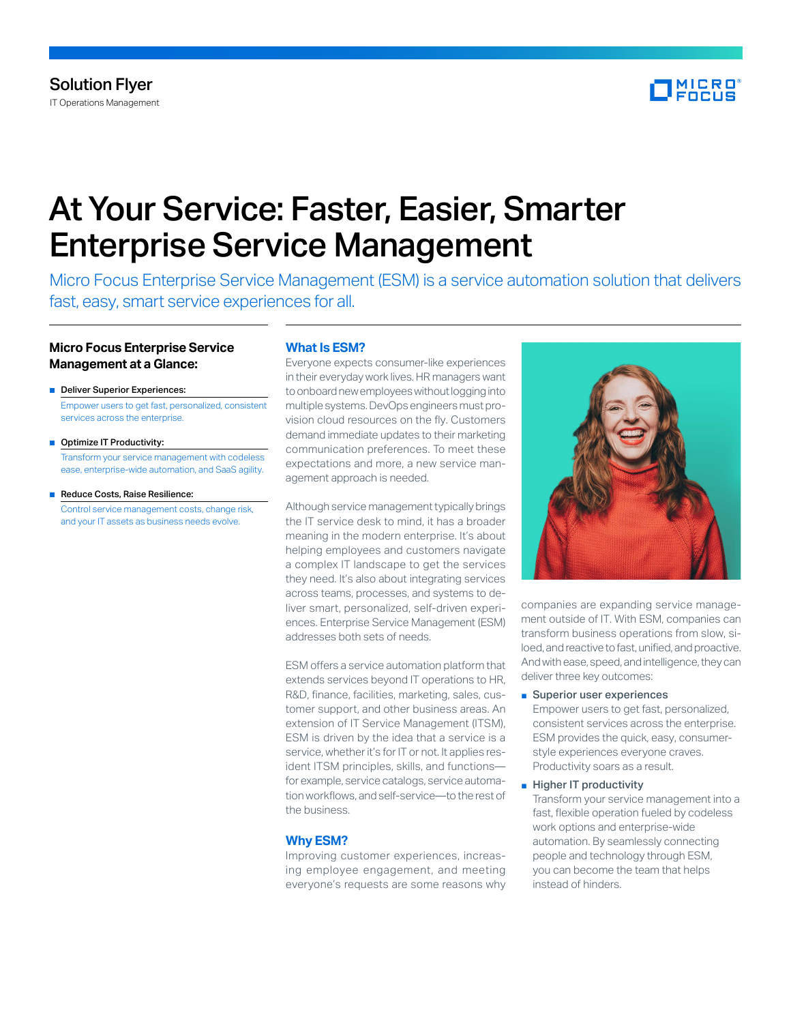

# At Your Service: Faster, Easier, Smarter Enterprise Service Management

Micro Focus Enterprise Service Management (ESM) is a service automation solution that delivers fast, easy, smart service experiences for all.

# **Micro Focus Enterprise Service Management at a Glance:**

- Deliver Superior Experiences: Empower users to get fast, personalized, consistent services across the enterprise.
- Optimize IT Productivity: Transform your service management with codeless ease, enterprise-wide automation, and SaaS agility.
- Reduce Costs, Raise Resilience: Control service management costs, change risk, and your IT assets as business needs evolve.

## **What Is ESM?**

Everyone expects consumer-like experiences in their everyday work lives. HR managers want to onboard new employees without logging into multiple systems. DevOps engineers must provision cloud resources on the fly. Customers demand immediate updates to their marketing communication preferences. To meet these expectations and more, a new service management approach is needed.

Although service management typically brings the IT service desk to mind, it has a broader meaning in the modern enterprise. It's about helping employees and customers navigate a complex IT landscape to get the services they need. It's also about integrating services across teams, processes, and systems to deliver smart, personalized, self-driven experiences. Enterprise Service Management (ESM) addresses both sets of needs.

ESM offers a service automation platform that extends services beyond IT operations to HR, R&D, finance, facilities, marketing, sales, customer support, and other business areas. An extension of IT Service Management (ITSM), ESM is driven by the idea that a service is a service, whether it's for IT or not. It applies resident ITSM principles, skills, and functions for example, service catalogs, service automation workflows, and self-service—to the rest of the business.

# **Why ESM?**

Improving customer experiences, increasing employee engagement, and meeting everyone's requests are some reasons why



companies are expanding service management outside of IT. With ESM, companies can transform business operations from slow, siloed, and reactive to fast, unified, and proactive. And with ease, speed, and intelligence, they can deliver three key outcomes:

■ Superior user experiences

Empower users to get fast, personalized, consistent services across the enterprise. ESM provides the quick, easy, consumerstyle experiences everyone craves. Productivity soars as a result.

■ Higher IT productivity

Transform your service management into a fast, flexible operation fueled by codeless work options and enterprise-wide automation. By seamlessly connecting people and technology through ESM, you can become the team that helps instead of hinders.